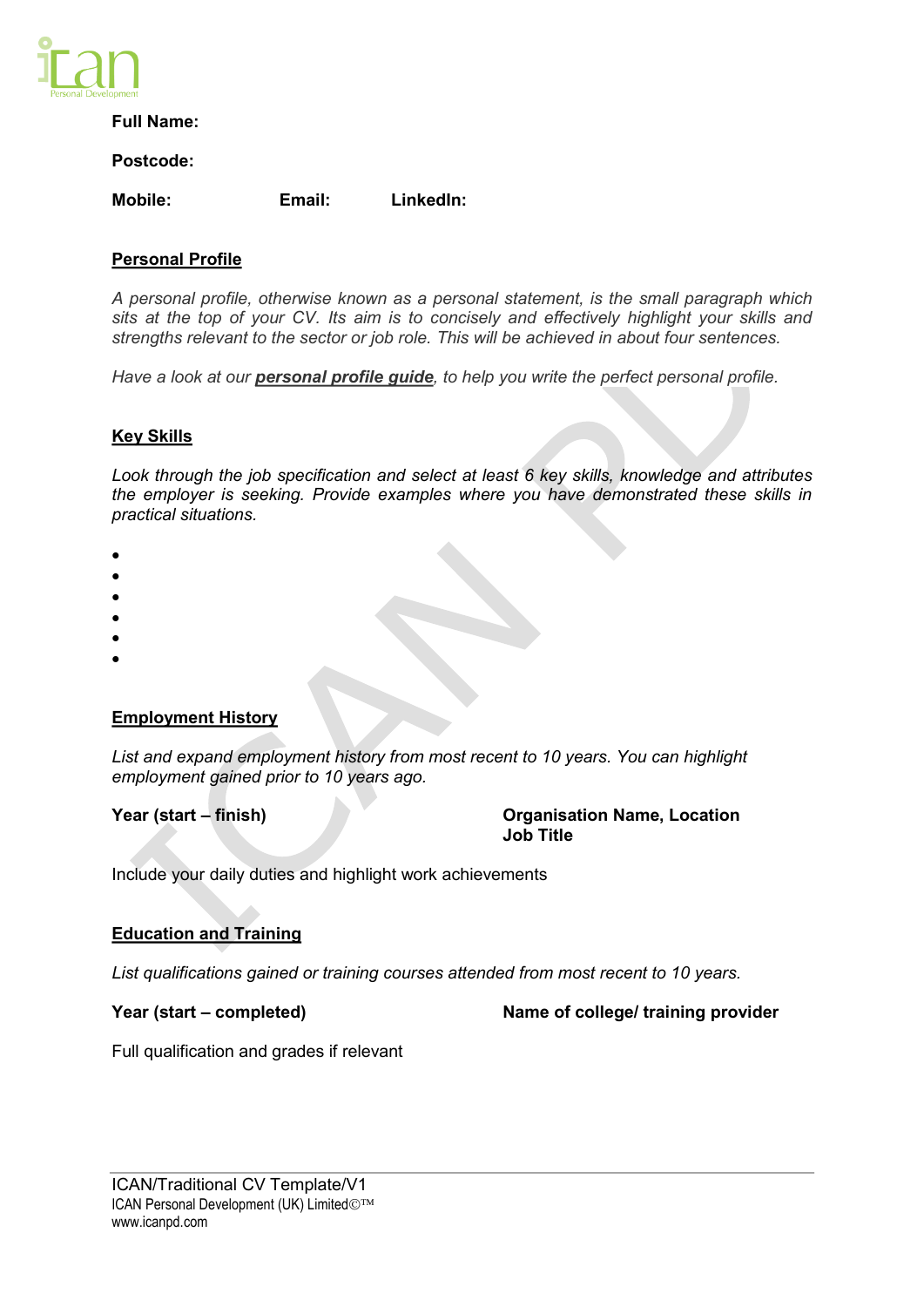

# **Full Name:**

### **Postcode:**

**Mobile: Email: LinkedIn:** 

# **Personal Profile**

*A personal profile, otherwise known as a personal statement, is the small paragraph which sits at the top of your CV. Its aim is to concisely and effectively highlight your skills and strengths relevant to the sector or job role. This will be achieved in about four sentences.* 

*Have a look at our personal profile guide, to help you write the perfect personal profile.* 

# **Key Skills**

*Look through the job specification and select at least 6 key skills, knowledge and attributes the employer is seeking. Provide examples where you have demonstrated these skills in practical situations.* 

- $\bullet$
- $\bullet$
- $\bullet$
- $\bullet$
- $\bullet$
- $\bullet$

### **Employment History**

*List and expand employment history from most recent to 10 years. You can highlight employment gained prior to 10 years ago.*

**Year (start – finish) Organisation Name, Location Job Title**

Include your daily duties and highlight work achievements

# **Education and Training**

*List qualifications gained or training courses attended from most recent to 10 years.* 

**Year (start – completed) Name of college/ training provider** 

Full qualification and grades if relevant